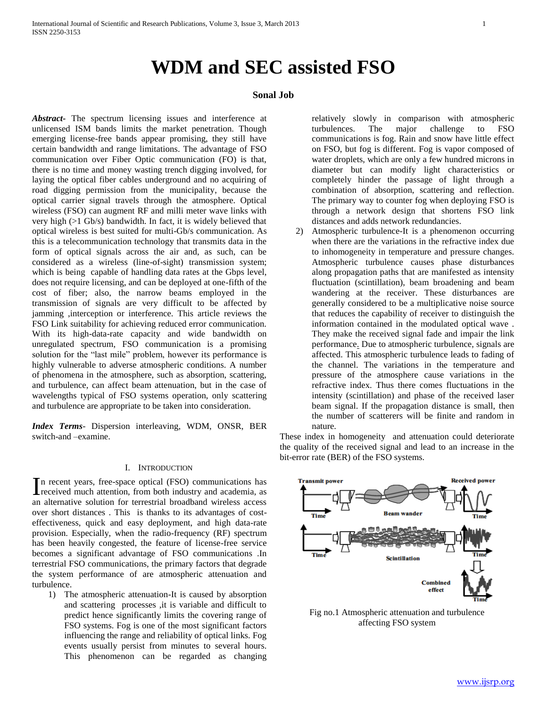# **WDM and SEC assisted FSO**

## **Sonal Job**

*Abstract***-** The spectrum licensing issues and interference at unlicensed ISM bands limits the market penetration. Though emerging license-free bands appear promising, they still have certain bandwidth and range limitations. The advantage of FSO communication over Fiber Optic communication (FO) is that, there is no time and money wasting trench digging involved, for laying the optical fiber cables underground and no acquiring of road digging permission from the municipality, because the optical carrier signal travels through the atmosphere. Optical wireless (FSO) can augment RF and milli meter wave links with very high (>1 Gb/s) bandwidth. In fact, it is widely believed that optical wireless is best suited for multi-Gb/s communication. As this is a telecommunication technology that transmits data in the form of optical signals across the air and, as such, can be considered as a wireless (line-of-sight) transmission system; which is being capable of handling data rates at the Gbps level, does not require licensing, and can be deployed at one-fifth of the cost of fiber; also, the narrow beams employed in the transmission of signals are very difficult to be affected by jamming ,interception or interference. This article reviews the FSO Link suitability for achieving reduced error communication. With its high-data-rate capacity and wide bandwidth on unregulated spectrum, FSO communication is a promising solution for the "last mile" problem, however its performance is highly vulnerable to adverse atmospheric conditions. A number of phenomena in the atmosphere, such as absorption, scattering, and turbulence, can affect beam attenuation, but in the case of wavelengths typical of FSO systems operation, only scattering and turbulence are appropriate to be taken into consideration.

*Index Terms*- Dispersion interleaving, WDM, ONSR, BER switch-and –examine.

### I. INTRODUCTION

n recent years, free-space optical (FSO) communications has In recent years, free-space optical (FSO) communications has received much attention, from both industry and academia, as an alternative solution for terrestrial broadband wireless access over short distances . This is thanks to its advantages of costeffectiveness, quick and easy deployment, and high data-rate provision. Especially, when the radio-frequency (RF) spectrum has been heavily congested, the feature of license-free service becomes a significant advantage of FSO communications .In terrestrial FSO communications, the primary factors that degrade the system performance of are atmospheric attenuation and turbulence.

1) The atmospheric attenuation-It is caused by absorption and scattering processes ,it is variable and difficult to predict hence significantly limits the covering range of FSO systems. Fog is one of the most significant factors influencing the range and reliability of optical links. Fog events usually persist from minutes to several hours. This phenomenon can be regarded as changing

relatively slowly in comparison with atmospheric turbulences. The major challenge to FSO communications is fog. Rain and snow have little effect on FSO, but fog is different. Fog is vapor composed of water droplets, which are only a few hundred microns in diameter but can modify light characteristics or completely hinder the passage of light through a combination of absorption, scattering and reflection. The primary way to counter fog when deploying FSO is through a network design that shortens FSO link distances and adds network redundancies.

2) Atmospheric turbulence-It is a phenomenon occurring when there are the variations in the refractive index due to inhomogeneity in temperature and pressure changes. Atmospheric turbulence causes phase disturbances along propagation paths that are manifested as intensity fluctuation (scintillation), beam broadening and beam wandering at the receiver. These disturbances are generally considered to be a multiplicative noise source that reduces the capability of receiver to distinguish the information contained in the modulated optical wave . They make the received signal fade and impair the link performance. Due to atmospheric turbulence, signals are affected. This atmospheric turbulence leads to fading of the channel. The variations in the temperature and pressure of the atmosphere cause variations in the refractive index. Thus there comes fluctuations in the intensity (scintillation) and phase of the received laser beam signal. If the propagation distance is small, then the number of scatterers will be finite and random in nature.

These index in homogeneity and attenuation could deteriorate the quality of the received signal and lead to an increase in the bit-error rate (BER) of the FSO systems.



Fig no.1 Atmospheric attenuation and turbulence affecting FSO system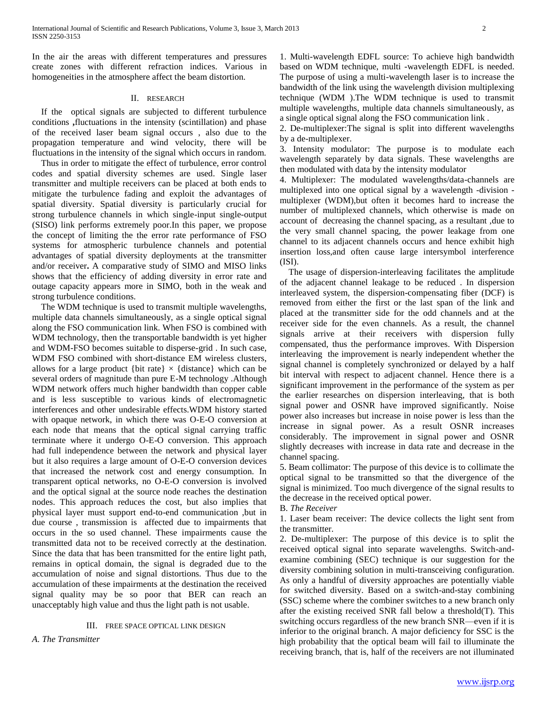In the air the areas with different temperatures and pressures create zones with different refraction indices. Various in homogeneities in the atmosphere affect the beam distortion.

#### II. RESEARCH

 If the optical signals are subjected to different turbulence conditions **,**fluctuations in the intensity (scintillation) and phase of the received laser beam signal occurs , also due to the propagation temperature and wind velocity, there will be fluctuations in the intensity of the signal which occurs in random.

 Thus in order to mitigate the effect of turbulence, error control codes and spatial diversity schemes are used. Single laser transmitter and multiple receivers can be placed at both ends to mitigate the turbulence fading and exploit the advantages of spatial diversity. Spatial diversity is particularly crucial for strong turbulence channels in which single-input single-output (SISO) link performs extremely poor.In this paper, we propose the concept of limiting the the error rate performance of FSO systems for atmospheric turbulence channels and potential advantages of spatial diversity deployments at the transmitter and/or receiver**.** A comparative study of SIMO and MISO links shows that the efficiency of adding diversity in error rate and outage capacity appears more in SIMO, both in the weak and strong turbulence conditions.

 The WDM technique is used to transmit multiple wavelengths, multiple data channels simultaneously, as a single optical signal along the FSO communication link. When FSO is combined with WDM technology, then the transportable bandwidth is yet higher and WDM-FSO becomes suitable to disperse-grid . In such case, WDM FSO combined with short-distance EM wireless clusters, allows for a large product {bit rate}  $\times$  {distance} which can be several orders of magnitude than pure E-M technology .Although WDM network offers much higher bandwidth than copper cable and is less susceptible to various kinds of electromagnetic interferences and other undesirable effects.WDM history started with opaque network, in which there was O-E-O conversion at each node that means that the optical signal carrying traffic terminate where it undergo O-E-O conversion. This approach had full independence between the network and physical layer but it also requires a large amount of O-E-O conversion devices that increased the network cost and energy consumption. In transparent optical networks, no O-E-O conversion is involved and the optical signal at the source node reaches the destination nodes. This approach reduces the cost, but also implies that physical layer must support end-to-end communication ,but in due course , transmission is affected due to impairments that occurs in the so used channel. These impairments cause the transmitted data not to be received correctly at the destination. Since the data that has been transmitted for the entire light path, remains in optical domain, the signal is degraded due to the accumulation of noise and signal distortions. Thus due to the accumulation of these impairments at the destination the received signal quality may be so poor that BER can reach an unacceptably high value and thus the light path is not usable.

### III. FREE SPACE OPTICAL LINK DESIGN

*A. The Transmitter* 

1. Multi-wavelength EDFL source: To achieve high bandwidth based on WDM technique, multi -wavelength EDFL is needed. The purpose of using a multi-wavelength laser is to increase the bandwidth of the link using the wavelength division multiplexing technique (WDM ).The WDM technique is used to transmit multiple wavelengths, multiple data channels simultaneously, as a single optical signal along the FSO communication link .

2. De-multiplexer:The signal is split into different wavelengths by a de-multiplexer.

3. Intensity modulator: The purpose is to modulate each wavelength separately by data signals. These wavelengths are then modulated with data by the intensity modulator

4. Multiplexer: The modulated wavelengths/data-channels are multiplexed into one optical signal by a wavelength -division multiplexer (WDM),but often it becomes hard to increase the number of multiplexed channels, which otherwise is made on account of decreasing the channel spacing, as a resultant ,due to the very small channel spacing, the power leakage from one channel to its adjacent channels occurs and hence exhibit high insertion loss,and often cause large intersymbol interference (ISI).

 The usage of dispersion-interleaving facilitates the amplitude of the adjacent channel leakage to be reduced . In dispersion interleaved system, the dispersion-compensating fiber (DCF) is removed from either the first or the last span of the link and placed at the transmitter side for the odd channels and at the receiver side for the even channels. As a result, the channel signals arrive at their receivers with dispersion fully compensated, thus the performance improves. With Dispersion interleaving the improvement is nearly independent whether the signal channel is completely synchronized or delayed by a half bit interval with respect to adjacent channel. Hence there is a significant improvement in the performance of the system as per the earlier researches on dispersion interleaving, that is both signal power and OSNR have improved significantly. Noise power also increases but increase in noise power is less than the increase in signal power. As a result OSNR increases considerably. The improvement in signal power and OSNR slightly decreases with increase in data rate and decrease in the channel spacing.

5. Beam collimator: The purpose of this device is to collimate the optical signal to be transmitted so that the divergence of the signal is minimized. Too much divergence of the signal results to the decrease in the received optical power.

B. *The Receiver*

1. Laser beam receiver: The device collects the light sent from the transmitter.

2. De-multiplexer: The purpose of this device is to split the received optical signal into separate wavelengths. Switch-andexamine combining (SEC) technique is our suggestion for the diversity combining solution in multi-transceiving configuration. As only a handful of diversity approaches are potentially viable for switched diversity. Based on a switch-and-stay combining (SSC) scheme where the combiner switches to a new branch only after the existing received SNR fall below a threshold(T). This switching occurs regardless of the new branch SNR—even if it is inferior to the original branch. A major deficiency for SSC is the high probability that the optical beam will fail to illuminate the receiving branch, that is, half of the receivers are not illuminated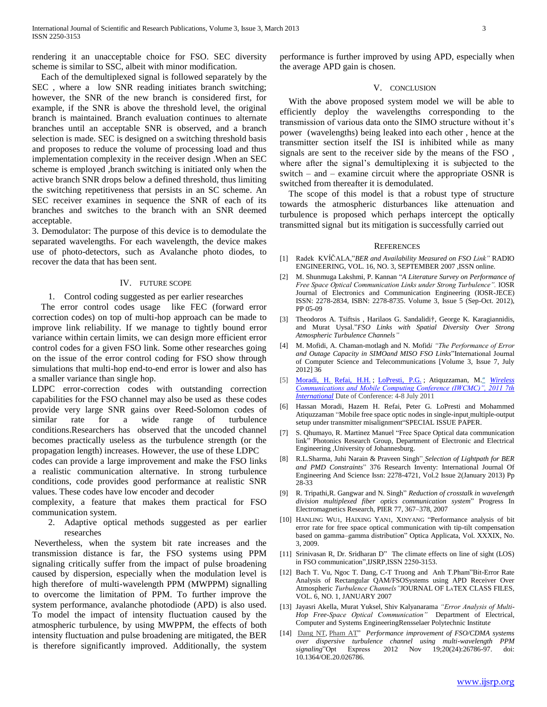rendering it an unacceptable choice for FSO. SEC diversity scheme is similar to SSC, albeit with minor modification.

 Each of the demultiplexed signal is followed separately by the SEC , where a low SNR reading initiates branch switching; however, the SNR of the new branch is considered first, for example, if the SNR is above the threshold level, the original branch is maintained. Branch evaluation continues to alternate branches until an acceptable SNR is observed, and a branch selection is made. SEC is designed on a switching threshold basis and proposes to reduce the volume of processing load and thus implementation complexity in the receiver design .When an SEC scheme is employed ,branch switching is initiated only when the active branch SNR drops below a defined threshold, thus limiting the switching repetitiveness that persists in an SC scheme. An SEC receiver examines in sequence the SNR of each of its branches and switches to the branch with an SNR deemed acceptable.

3. Demodulator: The purpose of this device is to demodulate the separated wavelengths. For each wavelength, the device makes use of photo-detectors, such as Avalanche photo diodes, to recover the data that has been sent.

#### IV. FUTURE SCOPE

1. Control coding suggested as per earlier researches

 The error control codes usage like FEC (forward error correction codes) on top of multi-hop approach can be made to improve link reliability. If we manage to tightly bound error variance within certain limits, we can design more efficient error control codes for a given FSO link. Some other researches going on the issue of the error control coding for FSO show through simulations that multi-hop end-to-end error is lower and also has a smaller variance than single hop.

LDPC error-correction codes with outstanding correction capabilities for the FSO channel may also be used as these codes provide very large SNR gains over Reed-Solomon codes of similar rate for a wide range of turbulence conditions.Researchers has observed that the uncoded channel becomes practically useless as the turbulence strength (or the propagation length) increases. However, the use of these LDPC

codes can provide a large improvement and make the FSO links a realistic communication alternative. In strong turbulence conditions, code provides good performance at realistic SNR values. These codes have low encoder and decoder

complexity, a feature that makes them practical for FSO communication system.

2. Adaptive optical methods suggested as per earlier researches

Nevertheless, when the system bit rate increases and the transmission distance is far, the FSO systems using PPM signaling critically suffer from the impact of pulse broadening caused by dispersion, especially when the modulation level is high therefore of multi-wavelength PPM (MWPPM) signalling to overcome the limitation of PPM. To further improve the system performance, avalanche photodiode (APD) is also used. To model the impact of intensity fluctuation caused by the atmospheric turbulence, by using MWPPM, the effects of both intensity fluctuation and pulse broadening are mitigated, the BER is therefore significantly improved. Additionally, the system

performance is further improved by using APD, especially when the average APD gain is chosen.

### V. CONCLUSION

 With the above proposed system model we will be able to efficiently deploy the wavelengths corresponding to the transmission of various data onto the SIMO structure without it's power (wavelengths) being leaked into each other , hence at the transmitter section itself the ISI is inhibited while as many signals are sent to the receiver side by the means of the FSO , where after the signal's demultiplexing it is subjected to the switch – and – examine circuit where the appropriate OSNR is switched from thereafter it is demodulated.

 The scope of this model is that a robust type of structure towards the atmospheric disturbances like attenuation and turbulence is proposed which perhaps intercept the optically transmitted signal but its mitigation is successfully carried out

#### REFERENCES

- [1] Radek KVÍČALA,"*BER and Availability Measured on FSO Link*" RADIO ENGINEERING, VOL. 16, NO. 3, SEPTEMBER 2007 ,ISSN online.
- [2] M. Shunmuga Lakshmi, P. Kannan "A *Literature Survey on Performance of Free Space Optical Communication Links under Strong Turbulence".* IOSR Journal of Electronics and Communication Engineering (IOSR-JECE) ISSN: 2278-2834, ISBN: 2278-8735. Volume 3, Issue 5 (Sep-Oct. 2012), PP 05-09
- [3] Theodoros A. Tsiftsis , Harilaos G. Sandalidi†, George K. Karagiannidis, and Murat Uysal."*FSO Links with Spatial Diversity Over Strong Atmospheric Turbulence Channels"*
- [4] M. Mofidi, A. Chaman-motlagh and N. Mofid*i "The Performance of Error*  and Outage Capacity in SIMOand MISO FSO Links"International Journal of Computer Science and Telecommunications [Volume 3, Issue 7, July 2012] 36
- [5] [Moradi, H.](http://ieeexplore.ieee.org/search/searchresult.jsp?searchWithin=p_Authors:.QT.Moradi,%20H..QT.&newsearch=partialPref) [Refai, H.H.](http://ieeexplore.ieee.org/search/searchresult.jsp?searchWithin=p_Authors:.QT.Refai,%20H.H..QT.&newsearch=partialPref) ; [LoPresti, P.G.](http://ieeexplore.ieee.org/search/searchresult.jsp?searchWithin=p_Authors:.QT.LoPresti,%20P.G..QT.&newsearch=partialPref) ; Atiquzzaman, M." *[Wireless](http://ieeexplore.ieee.org/xpl/mostRecentIssue.jsp?punumber=5963770)  [Communications and Mobile Computing Conference \(IWCMC\)", 2011 7th](http://ieeexplore.ieee.org/xpl/mostRecentIssue.jsp?punumber=5963770)  [International](http://ieeexplore.ieee.org/xpl/mostRecentIssue.jsp?punumber=5963770)* Date of Conference: 4-8 July 2011
- [6] Hassan Moradi, Hazem H. Refai, Peter G. LoPresti and Mohammed Atiquzzaman "Mobile free space optic nodes in single-input multiple-output setup under transmitter misalignment "SPECIAL ISSUE PAPER.
- [7] S. Qhumayo, R. Martinez Manuel "Free Space Optical data communication link" Photonics Research Group, Department of Electronic and Electrical Engineering ,University of Johannesburg.
- [8] R.L.Sharma, Juhi Narain & Praveen Singh‖ *Selection of Lightpath for BER and PMD Constraints*‖ 376 Research Inventy: International Journal Of Engineering And Science Issn: 2278-4721, Vol.2 Issue 2(January 2013) Pp 28-33
- [9] R. Tripathi, R. Gangwar and N. Singh<sup>"</sup> *Reduction of crosstalk in wavelength division multiplexed fiber optics communication system*‖ Progress In Electromagnetics Research, PIER 77, 367–378, 2007
- [10] HANLING WU1, HAIXING YAN1, XINYANG "Performance analysis of bit error rate for free space optical communication with tip-tilt compensation based on gamma-gamma distribution" Optica Applicata, Vol. XXXIX, No. 3, 2009.
- [11] Srinivasan R, Dr. Sridharan D" The climate effects on line of sight (LOS) in FSO communication", IJSRP, ISSN 2250-3153.
- [12] Bach T. Vu, Ngoc T. Dang, C-T Truong and Anh T.Pham"Bit-Error Rate Analysis of Rectangular QAM/FSOSystems using APD Receiver Over Atmospheric *Turbulence Channels"*JOURNAL OF LATEX CLASS FILES, VOL. 6, NO. 1, JANUARY 2007
- [13] Jayasri Akella, Murat Yuksel, Shiv Kalyanarama *"Error Analysis of Multi-Hop Free-Space Optical Communication"* Department of Electrical, Computer and Systems EngineeringRensselaer Polytechnic Institut*e*
- [14] [Dang](http://www.ncbi.nlm.nih.gov/pubmed?term=Dang%20NT%5BAuthor%5D&cauthor=true&cauthor_uid=23187533) NT, [Pham](http://www.ncbi.nlm.nih.gov/pubmed?term=Pham%20AT%5BAuthor%5D&cauthor=true&cauthor_uid=23187533) AT‖ *Performance improvement of FSO/CDMA systems over dispersive turbulence channel using multi-wavelength PPM*  2012 Nov 19;20(24):26786-97. doi: 10.1364/OE.20.026786.